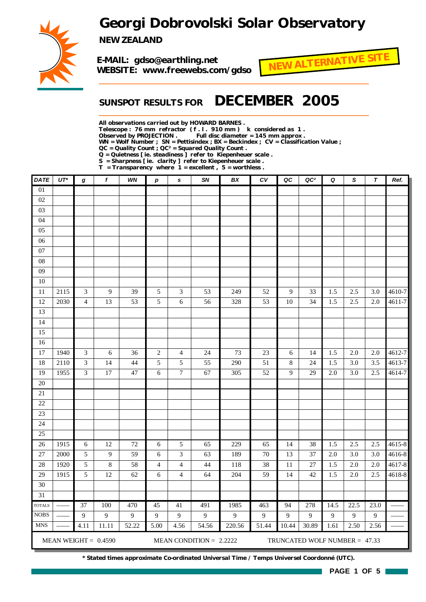## *Georgi Dobrovolski Solar Observatory*



*NEW ZEALAND*

*E-MAIL: gdso@earthling.net WEBSITE: www.freewebs.com/gdso*



## *SUNSPOT RESULTS FOR DECEMBER 2005*

*All observations carried out by HOWARD BARNES .*

*Telescope : 76 mm refractor ( f . l . 910 mm ) k considered as 1 .*

Full disc diameter = 145 mm approx .

*WN = Wolf Number ; SN = Pettisindex ; BX = Beckindex ; CV = Classification Value ;*

*QC = Quality Count ; QC² = Squared Quality Count .*

*Q = Quietness [ ie. steadiness ] refer to Kiepenheuer scale .*

*S = Sharpness [ ie. clarity ] refer to Kiepenheuer scale . T = Transparency where 1 = excellent , 5 = worthless .*

| <b>DATE</b>     | $UT^*$ | g                           | $\pmb{f}$              | WN     | $\boldsymbol{p}$ | $\mathbf{s}$     | SN                        | BX             | ${\cal C}{\cal V}$ | QC    | QC <sup>2</sup>               | Q    | $\mathbf S$ | $\boldsymbol{\tau}$ | Ref.   |
|-----------------|--------|-----------------------------|------------------------|--------|------------------|------------------|---------------------------|----------------|--------------------|-------|-------------------------------|------|-------------|---------------------|--------|
| $\overline{01}$ |        |                             |                        |        |                  |                  |                           |                |                    |       |                               |      |             |                     |        |
| 02              |        |                             |                        |        |                  |                  |                           |                |                    |       |                               |      |             |                     |        |
| 03              |        |                             |                        |        |                  |                  |                           |                |                    |       |                               |      |             |                     |        |
| 04              |        |                             |                        |        |                  |                  |                           |                |                    |       |                               |      |             |                     |        |
| $05\,$          |        |                             |                        |        |                  |                  |                           |                |                    |       |                               |      |             |                     |        |
| 06              |        |                             |                        |        |                  |                  |                           |                |                    |       |                               |      |             |                     |        |
| $07\,$          |        |                             |                        |        |                  |                  |                           |                |                    |       |                               |      |             |                     |        |
| ${\bf 08}$      |        |                             |                        |        |                  |                  |                           |                |                    |       |                               |      |             |                     |        |
| 09              |        |                             |                        |        |                  |                  |                           |                |                    |       |                               |      |             |                     |        |
| 10              |        |                             |                        |        |                  |                  |                           |                |                    |       |                               |      |             |                     |        |
| 11              | 2115   | 3                           | 9                      | 39     | 5                | 3                | 53                        | 249            | 52                 | 9     | 33                            | 1.5  | 2.5         | 3.0                 | 4610-7 |
| 12              | 2030   | $\overline{4}$              | 13                     | 53     | 5                | $\sqrt{6}$       | 56                        | 328            | 53                 | 10    | 34                            | 1.5  | 2.5         | 2.0                 | 4611-7 |
| 13              |        |                             |                        |        |                  |                  |                           |                |                    |       |                               |      |             |                     |        |
| 14              |        |                             |                        |        |                  |                  |                           |                |                    |       |                               |      |             |                     |        |
| 15              |        |                             |                        |        |                  |                  |                           |                |                    |       |                               |      |             |                     |        |
| 16              |        |                             |                        |        |                  |                  |                           |                |                    |       |                               |      |             |                     |        |
| 17              | 1940   | $\ensuremath{\mathfrak{Z}}$ | 6                      | 36     | $\overline{2}$   | $\overline{4}$   | 24                        | 73             | $23\,$             | 6     | 14                            | 1.5  | 2.0         | 2.0                 | 4612-7 |
| 18              | 2110   | $\mathfrak{Z}$              | 14                     | 44     | $\sqrt{5}$       | $\sqrt{5}$       | 55                        | 290            | 51                 | 8     | 24                            | 1.5  | 3.0         | 3.5                 | 4613-7 |
| 19              | 1955   | 3                           | 17                     | 47     | 6                | $\boldsymbol{7}$ | 67                        | 305            | 52                 | 9     | 29                            | 2.0  | 3.0         | 2.5                 | 4614-7 |
| $20\,$          |        |                             |                        |        |                  |                  |                           |                |                    |       |                               |      |             |                     |        |
| $21\,$          |        |                             |                        |        |                  |                  |                           |                |                    |       |                               |      |             |                     |        |
| $22\,$          |        |                             |                        |        |                  |                  |                           |                |                    |       |                               |      |             |                     |        |
| 23              |        |                             |                        |        |                  |                  |                           |                |                    |       |                               |      |             |                     |        |
| 24              |        |                             |                        |        |                  |                  |                           |                |                    |       |                               |      |             |                     |        |
| 25              |        |                             |                        |        |                  |                  |                           |                |                    |       |                               |      |             |                     |        |
| 26              | 1915   | 6                           | 12                     | $72\,$ | $\sqrt{6}$       | 5                | 65                        | 229            | 65                 | 14    | 38                            | 1.5  | 2.5         | 2.5                 | 4615-8 |
| 27              | 2000   | $\sqrt{5}$                  | 9                      | 59     | 6                | 3                | 63                        | 189            | $70\,$             | 13    | 37                            | 2.0  | 3.0         | $3.0\,$             | 4616-8 |
| 28              | 1920   | 5                           | $\,8\,$                | 58     | 4                | $\overline{4}$   | 44                        | 118            | 38                 | 11    | 27                            | 1.5  | 2.0         | $2.0\,$             | 4617-8 |
| 29              | 1915   | $\sqrt{5}$                  | 12                     | 62     | 6                | 4                | 64                        | 204            | 59                 | 14    | 42                            | 1.5  | $2.0\,$     | 2.5                 | 4618-8 |
| 30              |        |                             |                        |        |                  |                  |                           |                |                    |       |                               |      |             |                     |        |
| $31\,$          |        |                             |                        |        |                  |                  |                           |                |                    |       |                               |      |             |                     |        |
| <b>TOTALS</b>   |        | 37                          | 100                    | 470    | 45               | 41               | 491                       | 1985           | 463                | 94    | 278                           | 14.5 | 22.5        | 23.0                |        |
| <b>NOBS</b>     |        | 9                           | 9                      | 9      | 9                | 9                | 9                         | $\overline{9}$ | 9                  | 9     | 9                             | 9    | 9           | 9                   |        |
| <b>MNS</b>      |        | 4.11                        | 11.11                  | 52.22  | 5.00             | 4.56             | 54.56                     | 220.56         | 51.44              | 10.44 | 30.89                         | 1.61 | 2.50        | 2.56                |        |
|                 |        |                             | MEAN WEIGHT = $0.4590$ |        |                  |                  | MEAN CONDITION = $2.2222$ |                |                    |       | TRUNCATED WOLF NUMBER = 47.33 |      |             |                     |        |

*\* Stated times approximate Co-ordinated Universal Time / Temps Universel Coordonné (UTC).*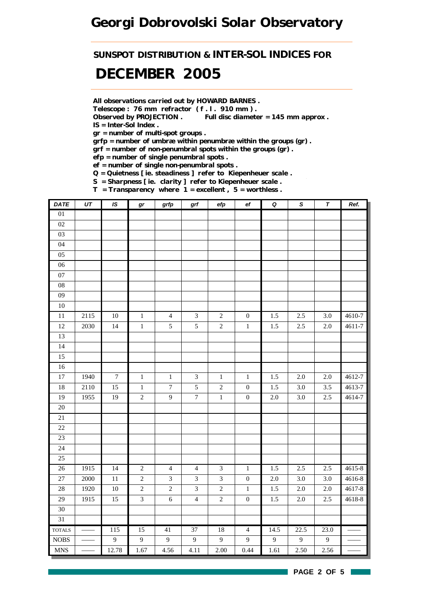## *Georgi Dobrovolski Solar Observatory*

*SUNSPOT DISTRIBUTION & INTER-SOL INDICES FOR*

## *DECEMBER 2005*

*All observations carried out by HOWARD BARNES .*

*Telescope : 76 mm refractor ( f . l . 910 mm ) .*

*Observed by PROJECTION . Full disc diameter = 145 mm approx . IS = Inter-Sol Index .*

*gr = number of multi-spot groups .*

*grfp = number of umbræ within penumbræ within the groups (gr) .*

*grf = number of non-penumbral spots within the groups (gr) .*

*efp = number of single penumbral spots .*

*ef = number of single non-penumbral spots .*

*Q = Quietness [ ie. steadiness ] refer to Kiepenheuer scale .*

*S = Sharpness [ ie. clarity ] refer to Kiepenheuer scale .*

*T = Transparency where 1 = excellent , 5 = worthless .*

| DATE                        | UT   | IS.              | gr             | grfp             | grf                         | efp            | e f              | $\pmb Q$ | $\pmb{\mathsf{s}}$ | $\pmb{\tau}$ | Ref.   |
|-----------------------------|------|------------------|----------------|------------------|-----------------------------|----------------|------------------|----------|--------------------|--------------|--------|
| $\overline{01}$             |      |                  |                |                  |                             |                |                  |          |                    |              |        |
| $02\,$                      |      |                  |                |                  |                             |                |                  |          |                    |              |        |
| $03\,$                      |      |                  |                |                  |                             |                |                  |          |                    |              |        |
| 04                          |      |                  |                |                  |                             |                |                  |          |                    |              |        |
| 05                          |      |                  |                |                  |                             |                |                  |          |                    |              |        |
| 06                          |      |                  |                |                  |                             |                |                  |          |                    |              |        |
| 07                          |      |                  |                |                  |                             |                |                  |          |                    |              |        |
| 08                          |      |                  |                |                  |                             |                |                  |          |                    |              |        |
| 09                          |      |                  |                |                  |                             |                |                  |          |                    |              |        |
| $10\,$                      |      |                  |                |                  |                             |                |                  |          |                    |              |        |
| $11\,$                      | 2115 | $10\,$           | $\mathbf{1}$   | $\overline{4}$   | $\mathfrak{Z}$              | $\sqrt{2}$     | $\boldsymbol{0}$ | 1.5      | 2.5                | 3.0          | 4610-7 |
| $12\,$                      | 2030 | 14               | $\,1$          | $\mathfrak{S}$   | $\sqrt{5}$                  | $\sqrt{2}$     | $\,1\,$          | 1.5      | $2.5\,$            | $2.0\,$      | 4611-7 |
| 13                          |      |                  |                |                  |                             |                |                  |          |                    |              |        |
| 14                          |      |                  |                |                  |                             |                |                  |          |                    |              |        |
| 15                          |      |                  |                |                  |                             |                |                  |          |                    |              |        |
| 16                          |      |                  |                |                  |                             |                |                  |          |                    |              |        |
| $\overline{17}$             | 1940 | $\boldsymbol{7}$ | $\,1$          | $\,1$            | $\ensuremath{\mathfrak{Z}}$ | $\,1$          | $\,1\,$          | 1.5      | $2.0\,$            | 2.0          | 4612-7 |
| 18                          | 2110 | 15               | $\,1$          | $\boldsymbol{7}$ | 5                           | $\sqrt{2}$     | $\boldsymbol{0}$ | 1.5      | 3.0                | 3.5          | 4613-7 |
| 19                          | 1955 | 19               | $\overline{2}$ | $\mathbf{9}$     | $\boldsymbol{7}$            | $\,1$          | $\boldsymbol{0}$ | $2.0\,$  | 3.0                | 2.5          | 4614-7 |
| $\overline{20}$             |      |                  |                |                  |                             |                |                  |          |                    |              |        |
| 21                          |      |                  |                |                  |                             |                |                  |          |                    |              |        |
| 22                          |      |                  |                |                  |                             |                |                  |          |                    |              |        |
| 23                          |      |                  |                |                  |                             |                |                  |          |                    |              |        |
| 24                          |      |                  |                |                  |                             |                |                  |          |                    |              |        |
| 25                          |      |                  |                |                  |                             |                |                  |          |                    |              |        |
| $26\,$                      | 1915 | 14               | $\overline{2}$ | $\overline{4}$   | $\overline{4}$              | $\mathfrak{Z}$ | $\mathbf{1}$     | 1.5      | 2.5                | 2.5          | 4615-8 |
| 27                          | 2000 | $11\,$           | $\overline{2}$ | $\mathfrak{Z}$   | $\overline{3}$              | $\mathfrak{Z}$ | $\boldsymbol{0}$ | $2.0\,$  | 3.0                | 3.0          | 4616-8 |
| 28                          | 1920 | $10\,$           | $\overline{c}$ | $\overline{c}$   | $\mathfrak{Z}$              | $\sqrt{2}$     | $\mathbf{1}$     | 1.5      | 2.0                | 2.0          | 4617-8 |
| $\overline{29}$             | 1915 | 15               | $\overline{3}$ | $\sqrt{6}$       | $\overline{4}$              | $\overline{2}$ | $\boldsymbol{0}$ | 1.5      | $2.0\,$            | $2.5\,$      | 4618-8 |
| 30                          |      |                  |                |                  |                             |                |                  |          |                    |              |        |
| 31                          |      |                  |                |                  |                             |                |                  |          |                    |              |        |
| <b>TOTALS</b>               |      | 115              | 15             | 41               | 37                          | 18             | $\overline{4}$   | 14.5     | 22.5               | 23.0         |        |
| $\rm{NOBS}$                 |      | $\overline{9}$   | 9              | 9                | 9                           | 9              | 9                | 9        | 9                  | 9            |        |
| $\ensuremath{\mathsf{MNS}}$ |      | 12.78            | 1.67           | 4.56             | 4.11                        | 2.00           | 0.44             | 1.61     | 2.50               | 2.56         |        |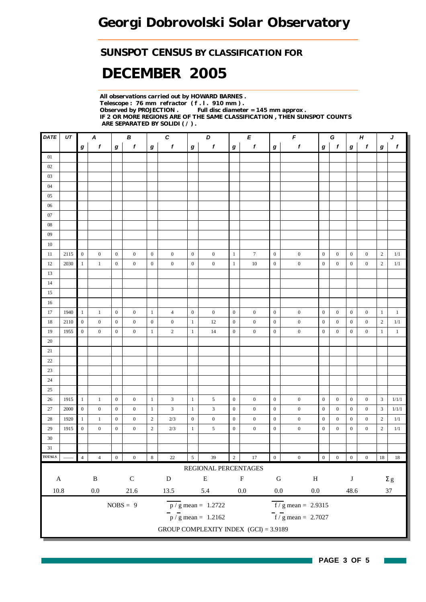### *SUNSPOT CENSUS BY CLASSIFICATION FOR*

# *DECEMBER 2005*

*All observations carried out by HOWARD BARNES . Telescope : 76 mm refractor ( f . l . 910 mm ) . Full disc diameter = 145 mm approx . IF 2 OR MORE REGIONS ARE OF THE SAME CLASSIFICATION , THEN SUNSPOT COUNTS ARE SEPARATED BY SOLIDI ( / ) .*

| DATE              | UT   |                  | A                |                  | $\boldsymbol{B}$                                         |                  | $\boldsymbol{c}$ |                  | D                                         |                  | E                |                  |                                    | $\pmb{\digamma}$ |                  | G<br>$\pmb H$                               |                  |                | J                |  |
|-------------------|------|------------------|------------------|------------------|----------------------------------------------------------|------------------|------------------|------------------|-------------------------------------------|------------------|------------------|------------------|------------------------------------|------------------|------------------|---------------------------------------------|------------------|----------------|------------------|--|
|                   |      | $\bm{g}$         | $\boldsymbol{f}$ | $\boldsymbol{g}$ | $\pmb{f}$                                                | $\boldsymbol{g}$ | $\pmb{f}$        | $\boldsymbol{g}$ | $\boldsymbol{f}$                          | g                | f                | $\bm{g}$         | $\pmb{f}$                          | g                | $\mathbf{f}$     | $\bm{g}$                                    | $\mathbf{f}$     | g              | $\boldsymbol{f}$ |  |
| 01                |      |                  |                  |                  |                                                          |                  |                  |                  |                                           |                  |                  |                  |                                    |                  |                  |                                             |                  |                |                  |  |
| 02                |      |                  |                  |                  |                                                          |                  |                  |                  |                                           |                  |                  |                  |                                    |                  |                  |                                             |                  |                |                  |  |
| $03\,$            |      |                  |                  |                  |                                                          |                  |                  |                  |                                           |                  |                  |                  |                                    |                  |                  |                                             |                  |                |                  |  |
| $04$              |      |                  |                  |                  |                                                          |                  |                  |                  |                                           |                  |                  |                  |                                    |                  |                  |                                             |                  |                |                  |  |
| $05\,$            |      |                  |                  |                  |                                                          |                  |                  |                  |                                           |                  |                  |                  |                                    |                  |                  |                                             |                  |                |                  |  |
| 06                |      |                  |                  |                  |                                                          |                  |                  |                  |                                           |                  |                  |                  |                                    |                  |                  |                                             |                  |                |                  |  |
| 07                |      |                  |                  |                  |                                                          |                  |                  |                  |                                           |                  |                  |                  |                                    |                  |                  |                                             |                  |                |                  |  |
| ${\color{red}08}$ |      |                  |                  |                  |                                                          |                  |                  |                  |                                           |                  |                  |                  |                                    |                  |                  |                                             |                  |                |                  |  |
| 09                |      |                  |                  |                  |                                                          |                  |                  |                  |                                           |                  |                  |                  |                                    |                  |                  |                                             |                  |                |                  |  |
| 10                |      |                  |                  |                  |                                                          |                  |                  |                  |                                           |                  |                  |                  |                                    |                  |                  |                                             |                  |                |                  |  |
| 11                | 2115 | $\mathbf{0}$     | $\boldsymbol{0}$ | $\mathbf{0}$     | $\boldsymbol{0}$                                         | $\boldsymbol{0}$ | $\boldsymbol{0}$ | $\overline{0}$   | $\boldsymbol{0}$                          | $\mathbf{1}$     | $\tau$           | $\boldsymbol{0}$ | $\boldsymbol{0}$                   | $\overline{0}$   | $\boldsymbol{0}$ | $\boldsymbol{0}$                            | $\boldsymbol{0}$ | $\overline{c}$ | 1/1              |  |
| $12 \,$           | 2030 | $\mathbf{1}$     | $\mathbf{1}$     | $\boldsymbol{0}$ | $\boldsymbol{0}$                                         | $\boldsymbol{0}$ | $\boldsymbol{0}$ | $\boldsymbol{0}$ | $\boldsymbol{0}$                          | $\mathbf{1}$     | $10\,$           | $\boldsymbol{0}$ | $\boldsymbol{0}$                   | $\mathbf{0}$     | $\boldsymbol{0}$ | $\boldsymbol{0}$                            | $\overline{0}$   | $\overline{c}$ | 1/1              |  |
| 13                |      |                  |                  |                  |                                                          |                  |                  |                  |                                           |                  |                  |                  |                                    |                  |                  |                                             |                  |                |                  |  |
| $14\,$            |      |                  |                  |                  |                                                          |                  |                  |                  |                                           |                  |                  |                  |                                    |                  |                  |                                             |                  |                |                  |  |
| 15                |      |                  |                  |                  |                                                          |                  |                  |                  |                                           |                  |                  |                  |                                    |                  |                  |                                             |                  |                |                  |  |
| 16                |      |                  |                  |                  |                                                          |                  |                  |                  |                                           |                  |                  |                  |                                    |                  |                  |                                             |                  |                |                  |  |
| 17                | 1940 | $\mathbf{1}$     | $\mathbf{1}$     | $\mathbf{0}$     | $\overline{0}$                                           | $\mathbf{1}$     | $\overline{4}$   | $\boldsymbol{0}$ | $\boldsymbol{0}$                          | $\mathbf{0}$     | $\boldsymbol{0}$ | $\mathbf{0}$     | $\boldsymbol{0}$                   | $\mathbf{0}$     | $\mathbf{0}$     | $\boldsymbol{0}$                            | $\boldsymbol{0}$ | $\mathbf{1}$   | $1\,$            |  |
| $18\,$            | 2110 | $\,$ 0 $\,$      | $\boldsymbol{0}$ | $\boldsymbol{0}$ | $\boldsymbol{0}$                                         | $\boldsymbol{0}$ | $\boldsymbol{0}$ | $\mathbf{1}$     | 12                                        | $\mathbf{0}$     | $\boldsymbol{0}$ | $\boldsymbol{0}$ | $\boldsymbol{0}$                   | $\boldsymbol{0}$ | $\boldsymbol{0}$ | $\boldsymbol{0}$                            | $\boldsymbol{0}$ | $\overline{c}$ | $1/1$            |  |
| 19                | 1955 | $\boldsymbol{0}$ | $\boldsymbol{0}$ | $\boldsymbol{0}$ | $\boldsymbol{0}$                                         | $\mathbf{1}$     | $\overline{c}$   | $\mathbf{1}$     | 14                                        | $\mathbf{0}$     | $\boldsymbol{0}$ | $\boldsymbol{0}$ | $\boldsymbol{0}$                   | $\boldsymbol{0}$ | $\boldsymbol{0}$ | $\boldsymbol{0}$                            | $\boldsymbol{0}$ | $\mathbf{1}$   | $\mathbf{1}$     |  |
| $20\,$            |      |                  |                  |                  |                                                          |                  |                  |                  |                                           |                  |                  |                  |                                    |                  |                  |                                             |                  |                |                  |  |
| 21                |      |                  |                  |                  |                                                          |                  |                  |                  |                                           |                  |                  |                  |                                    |                  |                  |                                             |                  |                |                  |  |
| $22\,$            |      |                  |                  |                  |                                                          |                  |                  |                  |                                           |                  |                  |                  |                                    |                  |                  |                                             |                  |                |                  |  |
| $23\,$            |      |                  |                  |                  |                                                          |                  |                  |                  |                                           |                  |                  |                  |                                    |                  |                  |                                             |                  |                |                  |  |
| $24\,$            |      |                  |                  |                  |                                                          |                  |                  |                  |                                           |                  |                  |                  |                                    |                  |                  |                                             |                  |                |                  |  |
| 25                |      |                  |                  |                  |                                                          |                  |                  |                  |                                           |                  |                  |                  |                                    |                  |                  |                                             |                  |                |                  |  |
| 26                | 1915 | $\mathbf{1}$     | $\mathbf{1}$     | $\boldsymbol{0}$ | $\boldsymbol{0}$                                         | $\mathbf{1}$     | 3                | $\mathbf{1}$     | 5                                         | $\mathbf{0}$     | $\boldsymbol{0}$ | $\boldsymbol{0}$ | $\boldsymbol{0}$                   | $\mathbf{0}$     | $\boldsymbol{0}$ | $\boldsymbol{0}$                            | $\boldsymbol{0}$ | $\mathfrak{Z}$ | 1/1/1            |  |
| 27                | 2000 | $\boldsymbol{0}$ | $\boldsymbol{0}$ | $\boldsymbol{0}$ | $\boldsymbol{0}$                                         | $\mathbf{1}$     | $\mathfrak{Z}$   | $\mathbf{1}$     | 3                                         | $\boldsymbol{0}$ | $\boldsymbol{0}$ | $\boldsymbol{0}$ | $\boldsymbol{0}$                   | $\mathbf{0}$     | $\boldsymbol{0}$ | $\boldsymbol{0}$                            | $\overline{0}$   | 3              | 1/1/1            |  |
| 28                | 1920 | -1               | $\mathbf{1}$     | $\boldsymbol{0}$ | $\boldsymbol{0}$                                         | $\sqrt{2}$       | $2/3$            | $\boldsymbol{0}$ | $\boldsymbol{0}$                          | $\boldsymbol{0}$ | $\boldsymbol{0}$ | $\boldsymbol{0}$ | $\boldsymbol{0}$                   | $\boldsymbol{0}$ | $\boldsymbol{0}$ | $\boldsymbol{0}$                            | $\boldsymbol{0}$ | $\overline{c}$ | 1/1              |  |
| 29                | 1915 | $\boldsymbol{0}$ | $\mathbf{0}$     | $\boldsymbol{0}$ | $\boldsymbol{0}$                                         | $\sqrt{2}$       | 2/3              | $\mathbf{1}$     | 5                                         | $\bf{0}$         | $\boldsymbol{0}$ | $\boldsymbol{0}$ | $\boldsymbol{0}$                   | $\boldsymbol{0}$ | $\boldsymbol{0}$ | $\boldsymbol{0}$                            | $\boldsymbol{0}$ | $\sqrt{2}$     | $1/1\,$          |  |
| $30\,$            |      |                  |                  |                  |                                                          |                  |                  |                  |                                           |                  |                  |                  |                                    |                  |                  |                                             |                  |                |                  |  |
| 31                |      |                  |                  |                  |                                                          |                  |                  |                  |                                           |                  |                  |                  |                                    |                  |                  |                                             |                  |                |                  |  |
| <b>TOTALS</b>     |      | $\overline{4}$   | $\overline{4}$   | $\boldsymbol{0}$ | $\boldsymbol{0}$                                         | $\,$ 8 $\,$      | 22               | $\overline{5}$   | 39                                        | $\overline{2}$   | 17               | $\boldsymbol{0}$ | $\boldsymbol{0}$                   | $\overline{0}$   | $\boldsymbol{0}$ | $\begin{array}{ c c } \hline 0 \end{array}$ | $\boldsymbol{0}$ | 18             | 18               |  |
|                   |      |                  |                  |                  |                                                          |                  |                  |                  | REGIONAL PERCENTAGES                      |                  |                  |                  |                                    |                  |                  |                                             |                  |                |                  |  |
| $\mathbf A$       |      |                  | $\, {\bf B}$     |                  | ${\bf C}$                                                |                  | ${\bf D}$        |                  | ${\bf E}$                                 |                  | $\mathbf F$      | ${\bf G}$        | $\, {\rm H}$                       |                  |                  | $\bf J$                                     |                  | $\Sigma$ g     |                  |  |
| $10.8\,$          |      |                  | $0.0\,$          |                  | $21.6\,$<br>$0.0\,$<br>13.5<br>5.4<br>$0.0\,$<br>$0.0\,$ |                  | 48.6             |                  | $37\,$                                    |                  |                  |                  |                                    |                  |                  |                                             |                  |                |                  |  |
|                   |      |                  |                  |                  | $NOBS = 9$                                               |                  |                  |                  | $\frac{\text{p}}{\text{s}}$ mean = 1.2722 |                  |                  |                  | $f/g$ mean = 2.9315                |                  |                  |                                             |                  |                |                  |  |
|                   |      |                  |                  |                  |                                                          |                  |                  |                  | $\bar{p}$ / g mean = 1.2162               |                  |                  |                  | $\frac{1}{\sqrt{5}}$ mean = 2.7027 |                  |                  |                                             |                  |                |                  |  |
|                   |      |                  |                  |                  |                                                          |                  |                  |                  | GROUP COMPLEXITY INDEX (GCI) = 3.9189     |                  |                  |                  |                                    |                  |                  |                                             |                  |                |                  |  |
|                   |      |                  |                  |                  |                                                          |                  |                  |                  |                                           |                  |                  |                  |                                    |                  |                  |                                             |                  |                |                  |  |

H

 $\sim$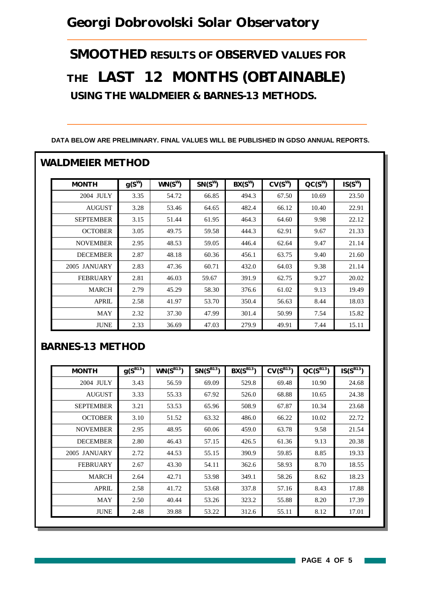## *Georgi Dobrovolski Solar Observatory*

*SMOOTHED RESULTS OF OBSERVED VALUES FOR THE LAST 12 MONTHS (OBTAINABLE) USING THE WALDMEIER & BARNES-13 METHODS.*

| <b>MONTH</b>     | $g(S^W)$ | $WN(S^W)$ | $SN(S^W)$ | $BX(S^W)$ | $CV(S^W)$ | $CC(S^W)$ | $IS(S^W)$ |
|------------------|----------|-----------|-----------|-----------|-----------|-----------|-----------|
| 2004 JULY        | 3.35     | 54.72     | 66.85     | 494.3     | 67.50     | 10.69     | 23.50     |
| <b>AUGUST</b>    | 3.28     | 53.46     | 64.65     | 482.4     | 66.12     | 10.40     | 22.91     |
| <b>SEPTEMBER</b> | 3.15     | 51.44     | 61.95     | 464.3     | 64.60     | 9.98      | 22.12     |
| <b>OCTOBER</b>   | 3.05     | 49.75     | 59.58     | 444.3     | 62.91     | 9.67      | 21.33     |
| <b>NOVEMBER</b>  | 2.95     | 48.53     | 59.05     | 446.4     | 62.64     | 9.47      | 21.14     |
| <b>DECEMBER</b>  | 2.87     | 48.18     | 60.36     | 456.1     | 63.75     | 9.40      | 21.60     |
| 2005 JANUARY     | 2.83     | 47.36     | 60.71     | 432.0     | 64.03     | 9.38      | 21.14     |
| <b>FEBRUARY</b>  | 2.81     | 46.03     | 59.67     | 391.9     | 62.75     | 9.27      | 20.02     |
| <b>MARCH</b>     | 2.79     | 45.29     | 58.30     | 376.6     | 61.02     | 9.13      | 19.49     |
| <b>APRIL</b>     | 2.58     | 41.97     | 53.70     | 350.4     | 56.63     | 8.44      | 18.03     |
| MAY              | 2.32     | 37.30     | 47.99     | 301.4     | 50.99     | 7.54      | 15.82     |
| <b>JUNE</b>      | 2.33     | 36.69     | 47.03     | 279.9     | 49.91     | 7.44      | 15.11     |

#### **DATA BELOW ARE PRELIMINARY. FINAL VALUES WILL BE PUBLISHED IN GDSO ANNUAL REPORTS.**

#### *BARNES-13 METHOD*

| <b>MONTH</b>     | $g(S^{B13})$ | $WN(S^{B13})$ | $SN(S^{B13})$ | $BX(S^{B13})$ | $CV(S^{B13})$ | $QC(S^{B13})$ | $IS(S^{B13})$ |
|------------------|--------------|---------------|---------------|---------------|---------------|---------------|---------------|
| 2004 JULY        | 3.43         | 56.59         | 69.09         | 529.8         | 69.48         | 10.90         | 24.68         |
| <b>AUGUST</b>    | 3.33         | 55.33         | 67.92         | 526.0         | 68.88         | 10.65         | 24.38         |
| <b>SEPTEMBER</b> | 3.21         | 53.53         | 65.96         | 508.9         | 67.87         | 10.34         | 23.68         |
| <b>OCTOBER</b>   | 3.10         | 51.52         | 63.32         | 486.0         | 66.22         | 10.02         | 22.72         |
| <b>NOVEMBER</b>  | 2.95         | 48.95         | 60.06         | 459.0         | 63.78         | 9.58          | 21.54         |
| <b>DECEMBER</b>  | 2.80         | 46.43         | 57.15         | 426.5         | 61.36         | 9.13          | 20.38         |
| 2005 JANUARY     | 2.72         | 44.53         | 55.15         | 390.9         | 59.85         | 8.85          | 19.33         |
| <b>FEBRUARY</b>  | 2.67         | 43.30         | 54.11         | 362.6         | 58.93         | 8.70          | 18.55         |
| MARCH            | 2.64         | 42.71         | 53.98         | 349.1         | 58.26         | 8.62          | 18.23         |
| <b>APRIL</b>     | 2.58         | 41.72         | 53.68         | 337.8         | 57.16         | 8.43          | 17.88         |
| MAY              | 2.50         | 40.44         | 53.26         | 323.2         | 55.88         | 8.20          | 17.39         |
| <b>JUNE</b>      | 2.48         | 39.88         | 53.22         | 312.6         | 55.11         | 8.12          | 17.01         |